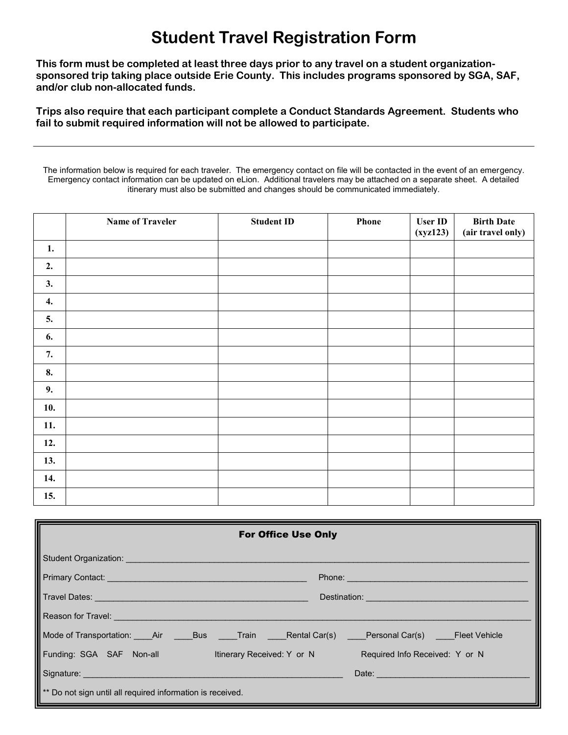## **Student Travel Registration Form**

**This form must be completed at least three days prior to any travel on a student organizationsponsored trip taking place outside Erie County. This includes programs sponsored by SGA, SAF, and/or club non-allocated funds.**

**Trips also require that each participant complete a Conduct Standards Agreement. Students who fail to submit required information will not be allowed to participate.**

The information below is required for each traveler. The emergency contact on file will be contacted in the event of an emergency. Emergency contact information can be updated on eLion. Additional travelers may be attached on a separate sheet. A detailed itinerary must also be submitted and changes should be communicated immediately.

|     | <b>Name of Traveler</b> | <b>Student ID</b> | Phone | <b>User ID</b><br>(xyz123) | <b>Birth Date</b><br>(air travel only) |
|-----|-------------------------|-------------------|-------|----------------------------|----------------------------------------|
| 1.  |                         |                   |       |                            |                                        |
| 2.  |                         |                   |       |                            |                                        |
| 3.  |                         |                   |       |                            |                                        |
| 4.  |                         |                   |       |                            |                                        |
| 5.  |                         |                   |       |                            |                                        |
| 6.  |                         |                   |       |                            |                                        |
| 7.  |                         |                   |       |                            |                                        |
| 8.  |                         |                   |       |                            |                                        |
| 9.  |                         |                   |       |                            |                                        |
| 10. |                         |                   |       |                            |                                        |
| 11. |                         |                   |       |                            |                                        |
| 12. |                         |                   |       |                            |                                        |
| 13. |                         |                   |       |                            |                                        |
| 14. |                         |                   |       |                            |                                        |
| 15. |                         |                   |       |                            |                                        |

| <b>For Office Use Only</b>                                                                                                                                                                                                           |                                                                                                                                                                                                                                      |                                   |  |  |  |  |  |  |
|--------------------------------------------------------------------------------------------------------------------------------------------------------------------------------------------------------------------------------------|--------------------------------------------------------------------------------------------------------------------------------------------------------------------------------------------------------------------------------------|-----------------------------------|--|--|--|--|--|--|
| Student Organization: Student Organization:                                                                                                                                                                                          |                                                                                                                                                                                                                                      |                                   |  |  |  |  |  |  |
| Primary Contact: New York 2014 19:00 19:00 19:00 19:00 19:00 19:00 19:00 19:00 19:00 19:00 19:00 19:00 19:00 1<br>Phone: New York Street, New York Street, New York Street, New York Street, New York Street, New York Street, N     |                                                                                                                                                                                                                                      |                                   |  |  |  |  |  |  |
| Travel Dates: <u>Alexander Alexander Alexander Alexander Alexander Alexander Alexander Alexander Alexander Alexander Alexander Alexander Alexander Alexander Alexander Alexander Alexander Alexander Alexander Alexander Alexand</u> | Destination: <u>contract and contract and contract and contract and contract and contract and contract and contract and contract and contract and contract and contract and contract and contract and contract and contract and </u> |                                   |  |  |  |  |  |  |
|                                                                                                                                                                                                                                      |                                                                                                                                                                                                                                      |                                   |  |  |  |  |  |  |
| Mode of Transportation: _____Air _______Bus ______Train ______Rental Car(s) _____Personal Car(s) _____Fleet Vehicle                                                                                                                  |                                                                                                                                                                                                                                      |                                   |  |  |  |  |  |  |
| Funding: SGA SAF Non-all ltinerary Received: Y or N Required Info Received: Y or N                                                                                                                                                   |                                                                                                                                                                                                                                      |                                   |  |  |  |  |  |  |
| Signature: Signature: Signature: Signature: Signature: Signature: Signature: Signature: Signature: Signature: Signature: Signature: Signature: Signature: Signature: Signature: Signature: Signature: Signature: Signature: Si       |                                                                                                                                                                                                                                      | Date: <u>____________________</u> |  |  |  |  |  |  |
| <sup>**</sup> Do not sign until all required information is received.                                                                                                                                                                |                                                                                                                                                                                                                                      |                                   |  |  |  |  |  |  |